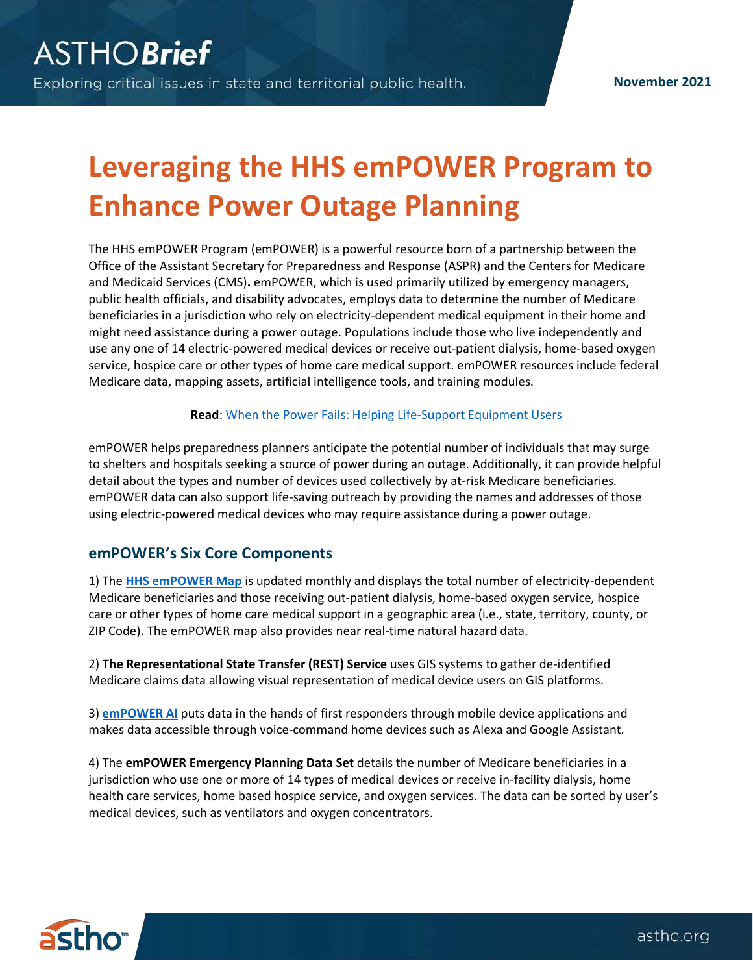# **Leveraging the HHS emPOWER Program to Enhance Power Outage Planning**

The HHS emPOWER Program (emPOWER) is a powerful resource born of a partnership between the Office of the Assistant Secretary for Preparedness and Response (ASPR) and the Centers for Medicare and Medicaid Services (CMS)**.** emPOWER, which is used primarily utilized by emergency managers, public health officials, and disability advocates, employs data to determine the number of Medicare beneficiaries in a jurisdiction who rely on electricity-dependent medical equipment in their home and might need assistance during a power outage. Populations include those who live independently and use any one of 14 electric-powered medical devices or receive out-patient dialysis, home-based oxygen service, hospice care or other types of home care medical support. emPOWER resources include federal Medicare data, mapping assets, artificial intelligence tools, and training modules.

#### **Read**[: When the Power Fails: Helping Life-Support Equipment Users](https://astho.org/generickey/GenericKeyDetails.aspx?contentid=24027&folderid=5150&catid=7184)

emPOWER helps preparedness planners anticipate the potential number of individuals that may surge to shelters and hospitals seeking a source of power during an outage. Additionally, it can provide helpful detail about the types and number of devices used collectively by at-risk Medicare beneficiaries. emPOWER data can also support life-saving outreach by providing the names and addresses of those using electric-powered medical devices who may require assistance during a power outage.

## **emPOWER's Six Core Components**

1) The **[HHS emPOWER Map](https://empowerprogram.hhs.gov/empowermap)** is updated monthly and displays the total number of electricity-dependent Medicare beneficiaries and those receiving out-patient dialysis, home-based oxygen service, hospice care or other types of home care medical support in a geographic area (i.e., state, territory, county, or ZIP Code). The emPOWER map also provides near real-time natural hazard data.

2) **The Representational State Transfer (REST) Service** uses GIS systems to gather de-identified Medicare claims data allowing visual representation of medical device users on GIS platforms.

3) **[emPOWER AI](https://empowerprogram.hhs.gov/empower-ai.html)** puts data in the hands of first responders through mobile device applications and makes data accessible through voice-command home devices such as Alexa and Google Assistant.

4) The **emPOWER Emergency Planning Data Set** details the number of Medicare beneficiaries in a jurisdiction who use one or more of 14 types of medical devices or receive in-facility dialysis, home health care services, home based hospice service, and oxygen services. The data can be sorted by user's medical devices, such as ventilators and oxygen concentrators.